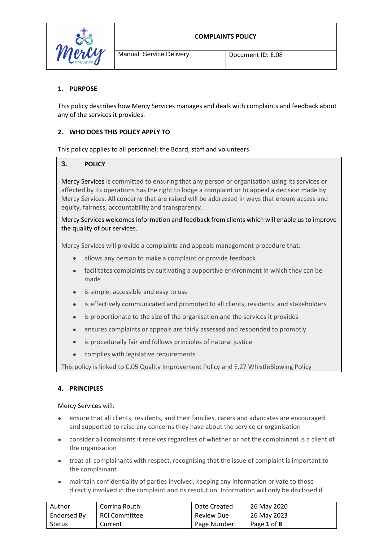

# **1. PURPOSE**

This policy describes how Mercy Services manages and deals with complaints and feedback about any of the services it provides.

## **2. WHO DOES THIS POLICY APPLY TO**

This policy applies to all personnel; the Board, staff and volunteers

## **3. POLICY**

Mercy Services is committed to ensuring that any person or organisation using its services or affected by its operations has the right to lodge a complaint or to appeal a decision made by Mercy Services. All concerns that are raised will be addressed in ways that ensure access and equity, fairness, accountability and transparency.

Mercy Services welcomes information and feedback from clients which will enable us to improve the quality of our services.

Mercy Services will provide a complaints and appeals management procedure that:

- allows any person to make a complaint or provide feedback
- facilitates complaints by cultivating a supportive environment in which they can be made
- is simple, accessible and easy to use
- is effectively communicated and promoted to all clients, residents and stakeholders
- is proportionate to the size of the organisation and the services it provides
- ensures complaints or appeals are fairly assessed and responded to promptly
- is procedurally fair and follows principles of natural justice
- complies with legislative requirements

This policy is linked to C.05 Quality Improvement Policy and E.27 WhistleBlowing Policy

#### **4. PRINCIPLES**

Mercy Services will:

- ensure that all clients, residents, and their families, carers and advocates are encouraged and supported to raise any concerns they have about the service or organisation
- consider all complaints it receives regardless of whether or not the complainant is a client of the organisation
- treat all complainants with respect, recognising that the issue of complaint is important to the complainant
- maintain confidentiality of parties involved, keeping any information private to those directly involved in the complaint and its resolution. Information will only be disclosed if

| Author      | Corrina Routh        | Date Created | 26 May 2020 |
|-------------|----------------------|--------------|-------------|
| Endorsed By | <b>RCI Committee</b> | Review Due   | 26 May 2023 |
| Status      | Current              | Page Number  | Page 1 of 8 |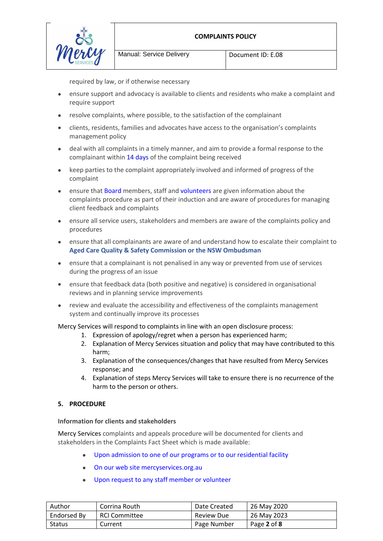

Manual: Service Delivery Document ID: E.08

required by law, or if otherwise necessary

- ensure support and advocacy is available to clients and residents who make a complaint and require support
- resolve complaints, where possible, to the satisfaction of the complainant
- clients, residents, families and advocates have access to the organisation's complaints management policy
- deal with all complaints in a timely manner, and aim to provide a formal response to the complainant within 14 days of the complaint being received
- keep parties to the complaint appropriately involved and informed of progress of the complaint
- ensure that Board members, staff and volunteers are given information about the complaints procedure as part of their induction and are aware of procedures for managing client feedback and complaints
- ensure all service users, stakeholders and members are aware of the complaints policy and procedures
- ensure that all complainants are aware of and understand how to escalate their complaint to **Aged Care Quality & Safety Commission or the NSW Ombudsman**
- ensure that a complainant is not penalised in any way or prevented from use of services during the progress of an issue
- ensure that feedback data (both positive and negative) is considered in organisational reviews and in planning service improvements
- review and evaluate the accessibility and effectiveness of the complaints management system and continually improve its processes

Mercy Services will respond to complaints in line with an open disclosure process:

- 1. Expression of apology/regret when a person has experienced harm;
- 2. Explanation of Mercy Services situation and policy that may have contributed to this harm;
- 3. Explanation of the consequences/changes that have resulted from Mercy Services response; and
- 4. Explanation of steps Mercy Services will take to ensure there is no recurrence of the harm to the person or others.

# **5. PROCEDURE**

#### **Information for clients and stakeholders**

Mercy Services complaints and appeals procedure will be documented for clients and stakeholders in the Complaints Fact Sheet which is made available:

- Upon admission to one of our programs or to our residential facility
- On our web site mercyservices.org.au
- Upon request to any staff member or volunteer

| Author      | Corrina Routh        | Date Created      | 26 May 2020 |
|-------------|----------------------|-------------------|-------------|
| Endorsed By | <b>RCI Committee</b> | <b>Review Due</b> | 26 May 2023 |
| Status      | Current              | Page Number       | Page 2 of 8 |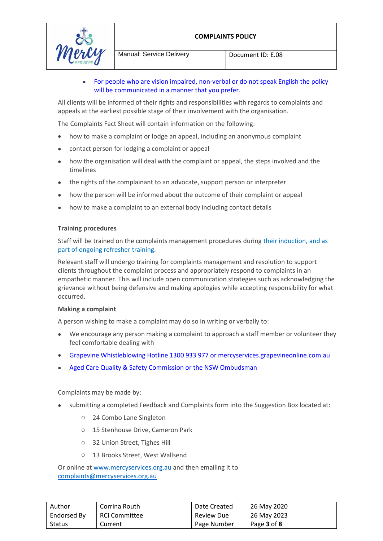

 For people who are vision impaired, non-verbal or do not speak English the policy will be communicated in a manner that you prefer.

All clients will be informed of their rights and responsibilities with regards to complaints and appeals at the earliest possible stage of their involvement with the organisation.

The Complaints Fact Sheet will contain information on the following:

- how to make a complaint or lodge an appeal, including an anonymous complaint
- contact person for lodging a complaint or appeal
- how the organisation will deal with the complaint or appeal, the steps involved and the timelines
- the rights of the complainant to an advocate, support person or interpreter
- how the person will be informed about the outcome of their complaint or appeal
- how to make a complaint to an external body including contact details

#### **Training procedures**

Staff will be trained on the complaints management procedures during their induction, and as part of ongoing refresher training.

Relevant staff will undergo training for complaints management and resolution to support clients throughout the complaint process and appropriately respond to complaints in an empathetic manner. This will include open communication strategies such as acknowledging the grievance without being defensive and making apologies while accepting responsibility for what occurred.

#### **Making a complaint**

A person wishing to make a complaint may do so in writing or verbally to:

- We encourage any person making a complaint to approach a staff member or volunteer they feel comfortable dealing with
- Grapevine Whistleblowing Hotline 1300 933 977 or mercyservices.grapevineonline.com.au
- Aged Care Quality & Safety Commission or the NSW Ombudsman

#### Complaints may be made by:

- submitting a completed Feedback and Complaints form into the Suggestion Box located at:
	- o 24 Combo Lane Singleton
	- o 15 Stenhouse Drive, Cameron Park
	- o 32 Union Street, Tighes Hill
	- o 13 Brooks Street, West Wallsend

Or online a[t www.mercyservices.org.au](http://www.mercyservices.org.au/) and then emailing it to [complaints@mercyservices.org.au](mailto:complaints@mercyservices.org.au) 

| Author      | Corrina Routh        | Date Created      | 26 May 2020 |
|-------------|----------------------|-------------------|-------------|
| Endorsed By | <b>RCI Committee</b> | <b>Review Due</b> | 26 May 2023 |
| Status      | Current              | Page Number       | Page 3 of 8 |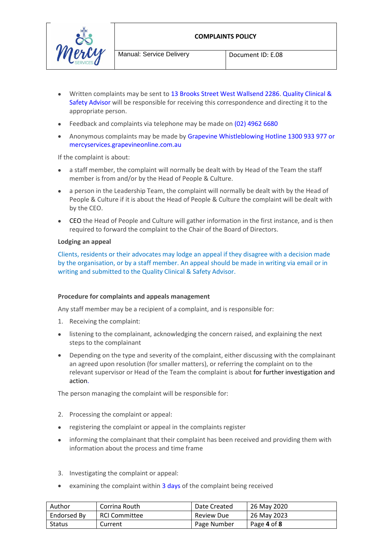



- Written complaints may be sent to 13 Brooks Street West Wallsend 2286. Quality Clinical & Safety Advisor will be responsible for receiving this correspondence and directing it to the appropriate person.
- Feedback and complaints via telephone may be made on (02) 4962 6680
- Anonymous complaints may be made by Grapevine Whistleblowing Hotline 1300 933 977 or mercyservices.grapevineonline.com.au

If the complaint is about:

- a staff member, the complaint will normally be dealt with by Head of the Team the staff member is from and/or by the Head of People & Culture.
- a person in the Leadership Team, the complaint will normally be dealt with by the Head of People & Culture if it is about the Head of People & Culture the complaint will be dealt with by the CEO.
- CEO the Head of People and Culture will gather information in the first instance, and is then required to forward the complaint to the Chair of the Board of Directors.

#### **Lodging an appeal**

Clients, residents or their advocates may lodge an appeal if they disagree with a decision made by the organisation, or by a staff member. An appeal should be made in writing via email or in writing and submitted to the Quality Clinical & Safety Advisor.

#### **Procedure for complaints and appeals management**

Any staff member may be a recipient of a complaint, and is responsible for:

- 1. Receiving the complaint:
- listening to the complainant, acknowledging the concern raised, and explaining the next steps to the complainant
- Depending on the type and severity of the complaint, either discussing with the complainant an agreed upon resolution (for smaller matters), or referring the complaint on to the relevant supervisor or Head of the Team the complaint is about for further investigation and action.

The person managing the complaint will be responsible for:

- 2. Processing the complaint or appeal:
- registering the complaint or appeal in the complaints register
- informing the complainant that their complaint has been received and providing them with information about the process and time frame
- 3. Investigating the complaint or appeal:
- examining the complaint within 3 days of the complaint being received

| Author      | Corrina Routh | Date Created      | 26 May 2020 |
|-------------|---------------|-------------------|-------------|
| Endorsed By | RCI Committee | <b>Review Due</b> | 26 May 2023 |
| Status      | Current       | Page Number       | Page 4 of 8 |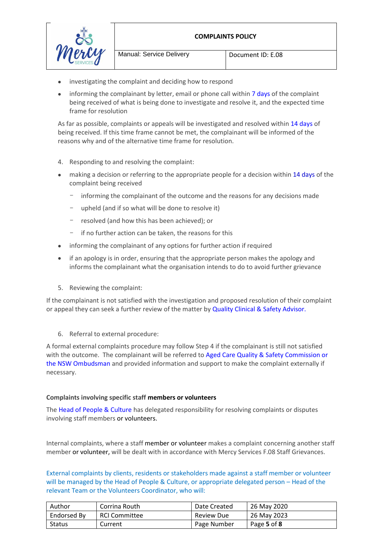

Manual: Service Delivery | Document ID: E.08

- investigating the complaint and deciding how to respond
- informing the complainant by letter, email or phone call within 7 days of the complaint being received of what is being done to investigate and resolve it, and the expected time frame for resolution

As far as possible, complaints or appeals will be investigated and resolved within 14 days of being received. If this time frame cannot be met, the complainant will be informed of the reasons why and of the alternative time frame for resolution.

- 4. Responding to and resolving the complaint:
- making a decision or referring to the appropriate people for a decision within 14 days of the complaint being received
	- informing the complainant of the outcome and the reasons for any decisions made
	- upheld (and if so what will be done to resolve it)
	- resolved (and how this has been achieved); or
	- if no further action can be taken, the reasons for this
- informing the complainant of any options for further action if required
- if an apology is in order, ensuring that the appropriate person makes the apology and informs the complainant what the organisation intends to do to avoid further grievance
- 5. Reviewing the complaint:

If the complainant is not satisfied with the investigation and proposed resolution of their complaint or appeal they can seek a further review of the matter by Quality Clinical & Safety Advisor.

6. Referral to external procedure:

A formal external complaints procedure may follow Step 4 if the complainant is still not satisfied with the outcome. The complainant will be referred to Aged Care Quality & Safety Commission or the NSW Ombudsman and provided information and support to make the complaint externally if necessary.

#### **Complaints involving specific staff members or volunteers**

The Head of People & Culture has delegated responsibility for resolving complaints or disputes involving staff members or volunteers.

Internal complaints, where a staff member or volunteer makes a complaint concerning another staff member or volunteer, will be dealt with in accordance with Mercy Services F.08 Staff Grievances.

External complaints by clients, residents or stakeholders made against a staff member or volunteer will be managed by the Head of People & Culture, or appropriate delegated person – Head of the relevant Team or the Volunteers Coordinator, who will:

| Author        | Corrina Routh | Date Created      | 26 May 2020 |
|---------------|---------------|-------------------|-------------|
| Endorsed By   | RCI Committee | <b>Review Due</b> | 26 May 2023 |
| <b>Status</b> | Current       | Page Number       | Page 5 of 8 |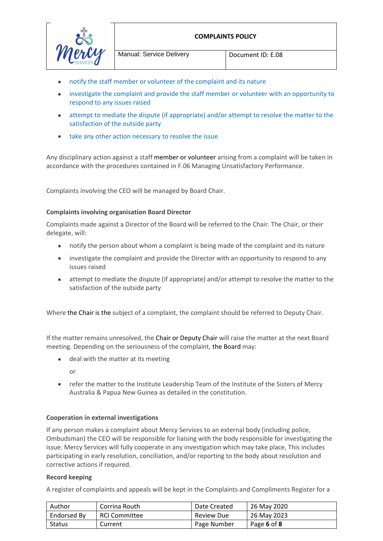

Manual: Service Delivery | Document ID: E.08

- notify the staff member or volunteer of the complaint and its nature
- investigate the complaint and provide the staff member or volunteer with an opportunity to respond to any issues raised
- attempt to mediate the dispute (if appropriate) and/or attempt to resolve the matter to the satisfaction of the outside party
- take any other action necessary to resolve the issue

Any disciplinary action against a staff member or volunteer arising from a complaint will be taken in accordance with the procedures contained in F.06 Managing Unsatisfactory Performance.

Complaints involving the CEO will be managed by Board Chair.

# **Complaints involving organisation Board Director**

Complaints made against a Director of the Board will be referred to the Chair. The Chair, or their delegate, will:

- notify the person about whom a complaint is being made of the complaint and its nature
- investigate the complaint and provide the Director with an opportunity to respond to any issues raised
- attempt to mediate the dispute (if appropriate) and/or attempt to resolve the matter to the satisfaction of the outside party

Where the Chair is the subject of a complaint, the complaint should be referred to Deputy Chair.

If the matter remains unresolved, the Chair or Deputy Chair will raise the matter at the next Board meeting. Depending on the seriousness of the complaint, the Board may:

• deal with the matter at its meeting

or

 refer the matter to the Institute Leadership Team of the Institute of the Sisters of Mercy Australia & Papua New Guinea as detailed in the constitution.

# **Cooperation in external investigations**

If any person makes a complaint about Mercy Services to an external body (including police, Ombudsman) the CEO will be responsible for liaising with the body responsible for investigating the issue. Mercy Services will fully cooperate in any investigation which may take place, This includes participating in early resolution, conciliation, and/or reporting to the body about resolution and corrective actions if required.

#### **Record keeping**

A register of complaints and appeals will be kept in the Complaints and Compliments Register for a

| Author      | Corrina Routh | Date Created      | 26 May 2020 |
|-------------|---------------|-------------------|-------------|
| Endorsed By | RCI Committee | <b>Review Due</b> | 26 May 2023 |
| Status      | Current       | Page Number       | Page 6 of 8 |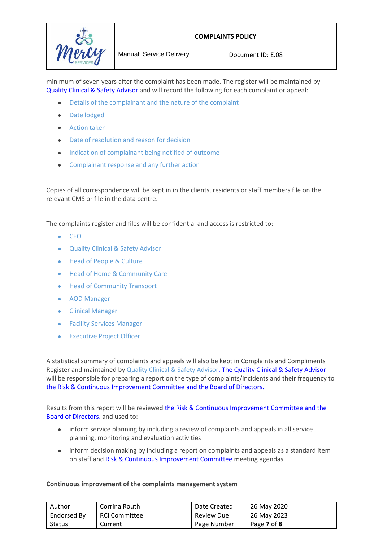

Manual: Service Delivery Document ID: E.08

minimum of seven years after the complaint has been made. The register will be maintained by Quality Clinical & Safety Advisor and will record the following for each complaint or appeal:

- Details of the complainant and the nature of the complaint
- Date lodged
- Action taken
- Date of resolution and reason for decision
- Indication of complainant being notified of outcome
- Complainant response and any further action

Copies of all correspondence will be kept in in the clients, residents or staff members file on the relevant CMS or file in the data centre.

The complaints register and files will be confidential and access is restricted to:

- $\bullet$  CEO
- Quality Clinical & Safety Advisor
- Head of People & Culture
- Head of Home & Community Care
- **•** Head of Community Transport
- AOD Manager
- Clinical Manager
- Facility Services Manager
- Executive Project Officer

A statistical summary of complaints and appeals will also be kept in Complaints and Compliments Register and maintained by Quality Clinical & Safety Advisor. The Quality Clinical & Safety Advisor will be responsible for preparing a report on the type of complaints/incidents and their frequency to the Risk & Continuous Improvement Committee and the Board of Directors.

Results from this report will be reviewed the Risk & Continuous Improvement Committee and the Board of Directors. and used to:

- inform service planning by including a review of complaints and appeals in all service planning, monitoring and evaluation activities
- inform decision making by including a report on complaints and appeals as a standard item on staff and Risk & Continuous Improvement Committee meeting agendas

#### **Continuous improvement of the complaints management system**

| Author      | Corrina Routh        | Date Created      | 26 May 2020 |
|-------------|----------------------|-------------------|-------------|
| Endorsed By | <b>RCI Committee</b> | <b>Review Due</b> | 26 May 2023 |
| Status      | Current              | Page Number       | Page 7 of 8 |